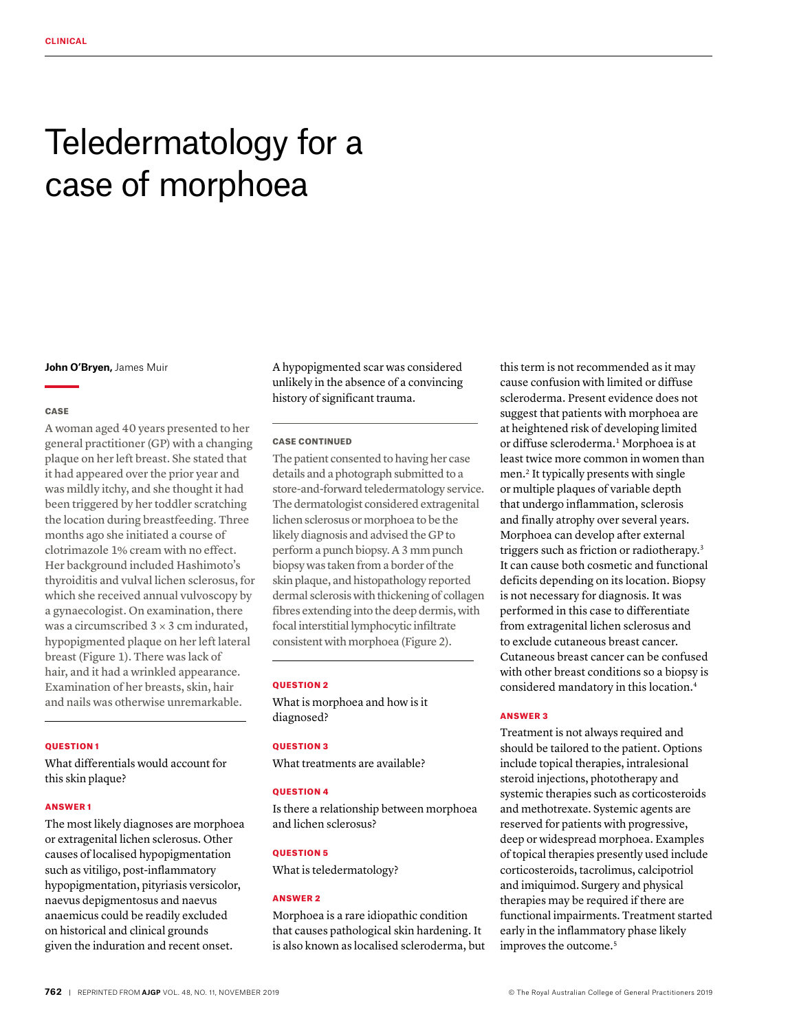# Teledermatology for a case of morphoea

**John O'Bryen,** James Muir

#### CASE

A woman aged 40 years presented to her general practitioner (GP) with a changing plaque on her left breast. She stated that it had appeared over the prior year and was mildly itchy, and she thought it had been triggered by her toddler scratching the location during breastfeeding. Three months ago she initiated a course of clotrimazole 1% cream with no effect. Her background included Hashimoto's thyroiditis and vulval lichen sclerosus, for which she received annual vulvoscopy by a gynaecologist. On examination, there was a circumscribed  $3 \times 3$  cm indurated, hypopigmented plaque on her left lateral breast (Figure 1). There was lack of hair, and it had a wrinkled appearance. Examination of her breasts, skin, hair and nails was otherwise unremarkable.

#### QUESTION 1

What differentials would account for this skin plaque?

#### ANSWER 1

The most likely diagnoses are morphoea or extragenital lichen sclerosus. Other causes of localised hypopigmentation such as vitiligo, post-inflammatory hypopigmentation, pityriasis versicolor, naevus depigmentosus and naevus anaemicus could be readily excluded on historical and clinical grounds given the induration and recent onset.

A hypopigmented scar was considered unlikely in the absence of a convincing history of significant trauma.

#### CASE CONTINUED

The patient consented to having her case details and a photograph submitted to a store-and-forward teledermatology service. The dermatologist considered extragenital lichen sclerosus or morphoea to be the likely diagnosis and advised the GP to perform a punch biopsy. A 3 mm punch biopsy was taken from a border of the skin plaque, and histopathology reported dermal sclerosis with thickening of collagen fibres extending into the deep dermis, with focal interstitial lymphocytic infiltrate consistent with morphoea (Figure 2).

#### QUESTION 2

What is morphoea and how is it diagnosed?

### QUESTION 3

What treatments are available?

# **OUESTION 4**

Is there a relationship between morphoea and lichen sclerosus?

# QUESTION 5

What is teledermatology?

# ANSWER 2

Morphoea is a rare idiopathic condition that causes pathological skin hardening. It is also known as localised scleroderma, but this term is not recommended as it may cause confusion with limited or diffuse scleroderma. Present evidence does not suggest that patients with morphoea are at heightened risk of developing limited or diffuse scleroderma.<sup>1</sup> Morphoea is at least twice more common in women than men.2 It typically presents with single or multiple plaques of variable depth that undergo inflammation, sclerosis and finally atrophy over several years. Morphoea can develop after external triggers such as friction or radiotherapy.3 It can cause both cosmetic and functional deficits depending on its location. Biopsy is not necessary for diagnosis. It was performed in this case to differentiate from extragenital lichen sclerosus and to exclude cutaneous breast cancer. Cutaneous breast cancer can be confused with other breast conditions so a biopsy is considered mandatory in this location.4

#### ANSWER 3

Treatment is not always required and should be tailored to the patient. Options include topical therapies, intralesional steroid injections, phototherapy and systemic therapies such as corticosteroids and methotrexate. Systemic agents are reserved for patients with progressive, deep or widespread morphoea. Examples of topical therapies presently used include corticosteroids, tacrolimus, calcipotriol and imiquimod. Surgery and physical therapies may be required if there are functional impairments. Treatment started early in the inflammatory phase likely improves the outcome.<sup>5</sup>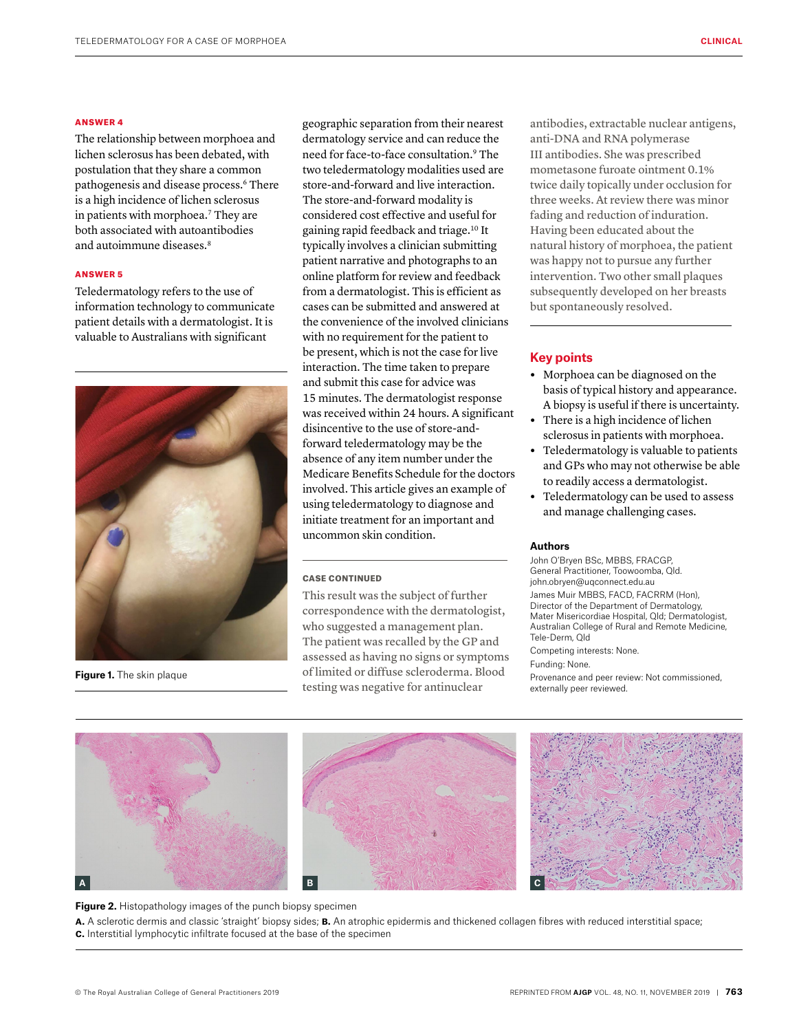#### ANSWER 4

The relationship between morphoea and lichen sclerosus has been debated, with postulation that they share a common pathogenesis and disease process.<sup>6</sup> There is a high incidence of lichen sclerosus in patients with morphoea.7 They are both associated with autoantibodies and autoimmune diseases.<sup>8</sup>

#### ANSWER 5

Teledermatology refers to the use of information technology to communicate patient details with a dermatologist. It is valuable to Australians with significant



**Figure 1.** The skin plaque

geographic separation from their nearest dermatology service and can reduce the need for face-to-face consultation.9 The two teledermatology modalities used are store-and-forward and live interaction. The store-and-forward modality is considered cost effective and useful for gaining rapid feedback and triage.10 It typically involves a clinician submitting patient narrative and photographs to an online platform for review and feedback from a dermatologist. This is efficient as cases can be submitted and answered at the convenience of the involved clinicians with no requirement for the patient to be present, which is not the case for live interaction. The time taken to prepare and submit this case for advice was 15 minutes. The dermatologist response was received within 24 hours. A significant disincentive to the use of store-andforward teledermatology may be the absence of any item number under the Medicare Benefits Schedule for the doctors involved. This article gives an example of using teledermatology to diagnose and initiate treatment for an important and uncommon skin condition.

#### CASE CONTINUED

This result was the subject of further correspondence with the dermatologist, who suggested a management plan. The patient was recalled by the GP and assessed as having no signs or symptoms of limited or diffuse scleroderma. Blood testing was negative for antinuclear

antibodies, extractable nuclear antigens, anti-DNA and RNA polymerase III antibodies. She was prescribed mometasone furoate ointment 0.1% twice daily topically under occlusion for three weeks. At review there was minor fading and reduction of induration. Having been educated about the natural history of morphoea, the patient was happy not to pursue any further intervention. Two other small plaques subsequently developed on her breasts but spontaneously resolved.

# **Key points**

- **•** Morphoea can be diagnosed on the basis of typical history and appearance. A biopsy is useful if there is uncertainty.
- **•** There is a high incidence of lichen sclerosus in patients with morphoea.
- **•** Teledermatology is valuable to patients and GPs who may not otherwise be able to readily access a dermatologist.
- **•** Teledermatology can be used to assess and manage challenging cases.

#### **Authors**

John O'Bryen BSc, MBBS, FRACGP, General Practitioner, Toowoomba, Qld. john.obryen@uqconnect.edu.au

James Muir MBBS, FACD, FACRRM (Hon), Director of the Department of Dermatology, Mater Misericordiae Hospital, Qld; Dermatologist, Australian College of Rural and Remote Medicine, Tele-Derm, Qld

Competing interests: None.

# Funding: None.

Provenance and peer review: Not commissioned, externally peer reviewed.







**Figure 2.** Histopathology images of the punch biopsy specimen **a.** A sclerotic dermis and classic 'straight' biopsy sides; **b.** An atrophic epidermis and thickened collagen fibres with reduced interstitial space; **c.** Interstitial lymphocytic infiltrate focused at the base of the specimen